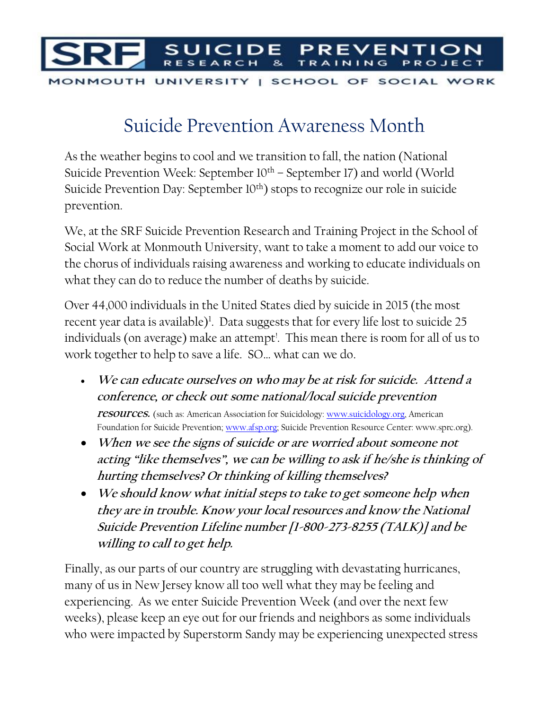

## Suicide Prevention Awareness Month

As the weather begins to cool and we transition to fall, the nation (National Suicide Prevention Week: September  $10<sup>th</sup>$  – September 17) and world (World Suicide Prevention Day: September 10<sup>th</sup>) stops to recognize our role in suicide prevention.

We, at the SRF Suicide Prevention Research and Training Project in the School of Social Work at Monmouth University, want to take a moment to add our voice to the chorus of individuals raising awareness and working to educate individuals on what they can do to reduce the number of deaths by suicide.

Over 44,000 individuals in the United States died by suicide in 2015 (the most recent year data is available)<sup>1</sup>. Data suggests that for every life lost to suicide 25 individuals (on average) make an attempt<sup>!</sup>. This mean there is room for all of us to work together to help to save a life. SO… what can we do.

- **We can educate ourselves on who may be at risk for suicide. Attend a conference, or check out some national/local suicide prevention resources.** (such as: American Association for Suicidology: [www.suicidology.org,](http://www.suicidology.org/) American Foundation for Suicide Prevention[; www.afsp.org;](http://www.afsp.org/) Suicide Prevention Resource Center: www.sprc.org).
- **When we see the signs of suicide or are worried about someone not acting "like themselves", we can be willing to ask if he/she is thinking of hurting themselves? Or thinking of killing themselves?**
- **We should know what initial steps to take to get someone help when they are in trouble. Know your local resources and know the National Suicide Prevention Lifeline number [1-800-273-8255 (TALK)] and be willing to call to get help.**

Finally, as our parts of our country are struggling with devastating hurricanes, many of us in New Jersey know all too well what they may be feeling and experiencing. As we enter Suicide Prevention Week (and over the next few weeks), please keep an eye out for our friends and neighbors as some individuals who were impacted by Superstorm Sandy may be experiencing unexpected stress